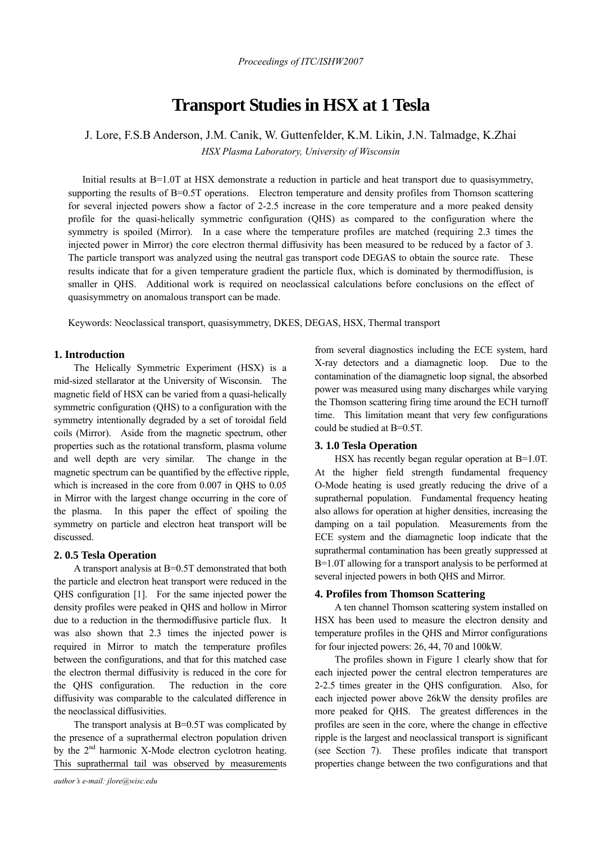# **Transport Studies in HSX at 1 Tesla**

# J. Lore, F.S.B Anderson, J.M. Canik, W. Guttenfelder, K.M. Likin, J.N. Talmadge, K.Zhai *HSX Plasma Laboratory, University of Wisconsin*

Initial results at B=1.0T at HSX demonstrate a reduction in particle and heat transport due to quasisymmetry, supporting the results of B=0.5T operations. Electron temperature and density profiles from Thomson scattering for several injected powers show a factor of 2-2.5 increase in the core temperature and a more peaked density profile for the quasi-helically symmetric configuration (QHS) as compared to the configuration where the symmetry is spoiled (Mirror). In a case where the temperature profiles are matched (requiring 2.3 times the injected power in Mirror) the core electron thermal diffusivity has been measured to be reduced by a factor of 3. The particle transport was analyzed using the neutral gas transport code DEGAS to obtain the source rate. These results indicate that for a given temperature gradient the particle flux, which is dominated by thermodiffusion, is smaller in QHS. Additional work is required on neoclassical calculations before conclusions on the effect of quasisymmetry on anomalous transport can be made.

Keywords: Neoclassical transport, quasisymmetry, DKES, DEGAS, HSX, Thermal transport

## **1. Introduction**

The Helically Symmetric Experiment (HSX) is a mid-sized stellarator at the University of Wisconsin. The magnetic field of HSX can be varied from a quasi-helically symmetric configuration (QHS) to a configuration with the symmetry intentionally degraded by a set of toroidal field coils (Mirror). Aside from the magnetic spectrum, other properties such as the rotational transform, plasma volume and well depth are very similar. The change in the magnetic spectrum can be quantified by the effective ripple, which is increased in the core from 0.007 in QHS to 0.05 in Mirror with the largest change occurring in the core of the plasma. In this paper the effect of spoiling the symmetry on particle and electron heat transport will be discussed.

# **2. 0.5 Tesla Operation**

A transport analysis at B=0.5T demonstrated that both the particle and electron heat transport were reduced in the QHS configuration [1]. For the same injected power the density profiles were peaked in QHS and hollow in Mirror due to a reduction in the thermodiffusive particle flux. It was also shown that 2.3 times the injected power is required in Mirror to match the temperature profiles between the configurations, and that for this matched case the electron thermal diffusivity is reduced in the core for the QHS configuration. The reduction in the core diffusivity was comparable to the calculated difference in the neoclassical diffusivities.

The transport analysis at B=0.5T was complicated by the presence of a suprathermal electron population driven by the  $2<sup>nd</sup>$  harmonic X-Mode electron cyclotron heating. This suprathermal tail was observed by measurements

from several diagnostics including the ECE system, hard X-ray detectors and a diamagnetic loop. Due to the contamination of the diamagnetic loop signal, the absorbed power was measured using many discharges while varying the Thomson scattering firing time around the ECH turnoff time. This limitation meant that very few configurations could be studied at B=0.5T.

#### **3. 1.0 Tesla Operation**

HSX has recently began regular operation at B=1.0T. At the higher field strength fundamental frequency O-Mode heating is used greatly reducing the drive of a suprathernal population. Fundamental frequency heating also allows for operation at higher densities, increasing the damping on a tail population. Measurements from the ECE system and the diamagnetic loop indicate that the suprathermal contamination has been greatly suppressed at B=1.0T allowing for a transport analysis to be performed at several injected powers in both QHS and Mirror.

#### **4. Profiles from Thomson Scattering**

A ten channel Thomson scattering system installed on HSX has been used to measure the electron density and temperature profiles in the QHS and Mirror configurations for four injected powers: 26, 44, 70 and 100kW.

The profiles shown in Figure 1 clearly show that for each injected power the central electron temperatures are 2-2.5 times greater in the QHS configuration. Also, for each injected power above 26kW the density profiles are more peaked for QHS. The greatest differences in the profiles are seen in the core, where the change in effective ripple is the largest and neoclassical transport is significant (see Section 7). These profiles indicate that transport properties change between the two configurations and that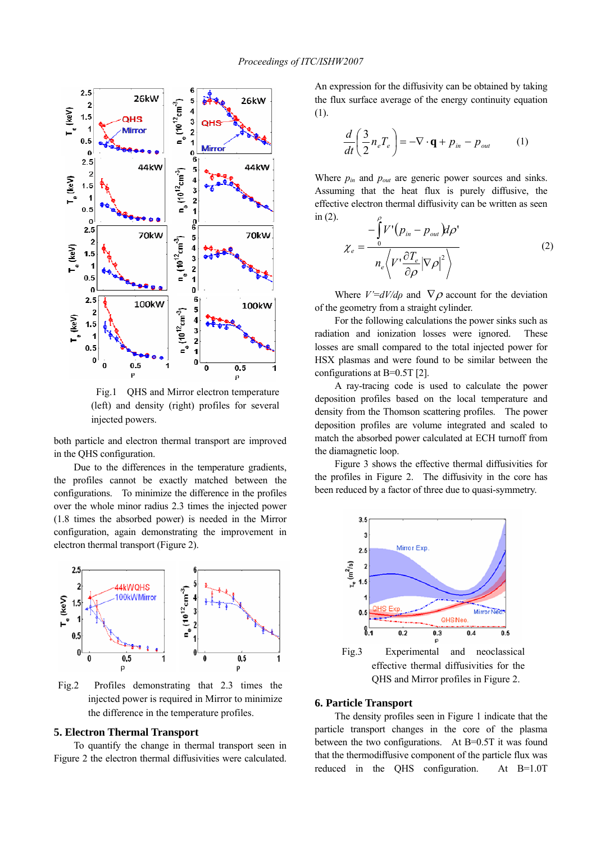

 Fig.1 QHS and Mirror electron temperature (left) and density (right) profiles for several injected powers.

both particle and electron thermal transport are improved in the QHS configuration.

Due to the differences in the temperature gradients, the profiles cannot be exactly matched between the configurations. To minimize the difference in the profiles over the whole minor radius 2.3 times the injected power (1.8 times the absorbed power) is needed in the Mirror configuration, again demonstrating the improvement in electron thermal transport (Figure 2).



injected power is required in Mirror to minimize the difference in the temperature profiles.

#### **5. Electron Thermal Transport**

To quantify the change in thermal transport seen in Figure 2 the electron thermal diffusivities were calculated.

An expression for the diffusivity can be obtained by taking the flux surface average of the energy continuity equation (1).

$$
\frac{d}{dt}\left(\frac{3}{2}n_e T_e\right) = -\nabla \cdot \mathbf{q} + p_{in} - p_{out} \tag{1}
$$

Where *pin* and *pout* are generic power sources and sinks. Assuming that the heat flux is purely diffusive, the effective electron thermal diffusivity can be written as seen in (2). ρ

$$
\chi_e = \frac{-\int_0^1 V' (p_{in} - p_{out}) d\rho'}{n_e \left\langle V' \frac{\partial T_e}{\partial \rho} |\nabla \rho|^2 \right\rangle}
$$
(2)

Where  $V = dV/d\rho$  and  $\nabla \rho$  account for the deviation of the geometry from a straight cylinder.

For the following calculations the power sinks such as radiation and ionization losses were ignored. These losses are small compared to the total injected power for HSX plasmas and were found to be similar between the configurations at B=0.5T [2].

A ray-tracing code is used to calculate the power deposition profiles based on the local temperature and density from the Thomson scattering profiles. The power deposition profiles are volume integrated and scaled to match the absorbed power calculated at ECH turnoff from the diamagnetic loop.

Figure 3 shows the effective thermal diffusivities for the profiles in Figure 2. The diffusivity in the core has been reduced by a factor of three due to quasi-symmetry.



# **6. Particle Transport**

The density profiles seen in Figure 1 indicate that the particle transport changes in the core of the plasma between the two configurations. At B=0.5T it was found that the thermodiffusive component of the particle flux was reduced in the QHS configuration. At B=1.0T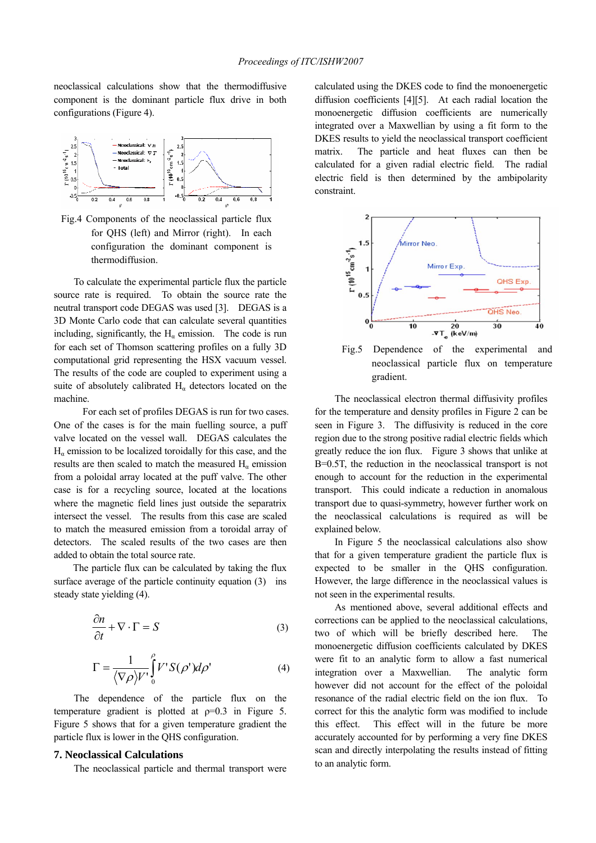neoclassical calculations show that the thermodiffusive component is the dominant particle flux drive in both configurations (Figure 4).



Fig.4 Components of the neoclassical particle flux for QHS (left) and Mirror (right). In each configuration the dominant component is thermodiffusion.

To calculate the experimental particle flux the particle source rate is required. To obtain the source rate the neutral transport code DEGAS was used [3]. DEGAS is a 3D Monte Carlo code that can calculate several quantities including, significantly, the  $H_a$  emission. The code is run for each set of Thomson scattering profiles on a fully 3D computational grid representing the HSX vacuum vessel. The results of the code are coupled to experiment using a suite of absolutely calibrated  $H_\alpha$  detectors located on the machine.

 For each set of profiles DEGAS is run for two cases. One of the cases is for the main fuelling source, a puff valve located on the vessel wall. DEGAS calculates the  $H<sub>a</sub>$  emission to be localized toroidally for this case, and the results are then scaled to match the measured  $H_a$  emission from a poloidal array located at the puff valve. The other case is for a recycling source, located at the locations where the magnetic field lines just outside the separatrix intersect the vessel. The results from this case are scaled to match the measured emission from a toroidal array of detectors. The scaled results of the two cases are then added to obtain the total source rate.

 The particle flux can be calculated by taking the flux surface average of the particle continuity equation (3) ins steady state yielding (4).

$$
\frac{\partial n}{\partial t} + \nabla \cdot \Gamma = S \tag{3}
$$

$$
\Gamma = \frac{1}{\langle \nabla \rho \rangle V'} \int_{0}^{\rho} V' S(\rho') d\rho' \tag{4}
$$

The dependence of the particle flux on the temperature gradient is plotted at  $p=0.3$  in Figure 5. Figure 5 shows that for a given temperature gradient the particle flux is lower in the QHS configuration.

### **7. Neoclassical Calculations**

The neoclassical particle and thermal transport were

calculated using the DKES code to find the monoenergetic diffusion coefficients [4][5]. At each radial location the monoenergetic diffusion coefficients are numerically integrated over a Maxwellian by using a fit form to the DKES results to yield the neoclassical transport coefficient matrix. The particle and heat fluxes can then be calculated for a given radial electric field. The radial electric field is then determined by the ambipolarity constraint.



Fig.5 Dependence of the experimental and neoclassical particle flux on temperature gradient.

The neoclassical electron thermal diffusivity profiles for the temperature and density profiles in Figure 2 can be seen in Figure 3. The diffusivity is reduced in the core region due to the strong positive radial electric fields which greatly reduce the ion flux. Figure 3 shows that unlike at B=0.5T, the reduction in the neoclassical transport is not enough to account for the reduction in the experimental transport. This could indicate a reduction in anomalous transport due to quasi-symmetry, however further work on the neoclassical calculations is required as will be explained below.

In Figure 5 the neoclassical calculations also show that for a given temperature gradient the particle flux is expected to be smaller in the QHS configuration. However, the large difference in the neoclassical values is not seen in the experimental results.

As mentioned above, several additional effects and corrections can be applied to the neoclassical calculations, two of which will be briefly described here. The monoenergetic diffusion coefficients calculated by DKES were fit to an analytic form to allow a fast numerical integration over a Maxwellian. The analytic form however did not account for the effect of the poloidal resonance of the radial electric field on the ion flux. To correct for this the analytic form was modified to include this effect. This effect will in the future be more accurately accounted for by performing a very fine DKES scan and directly interpolating the results instead of fitting to an analytic form.